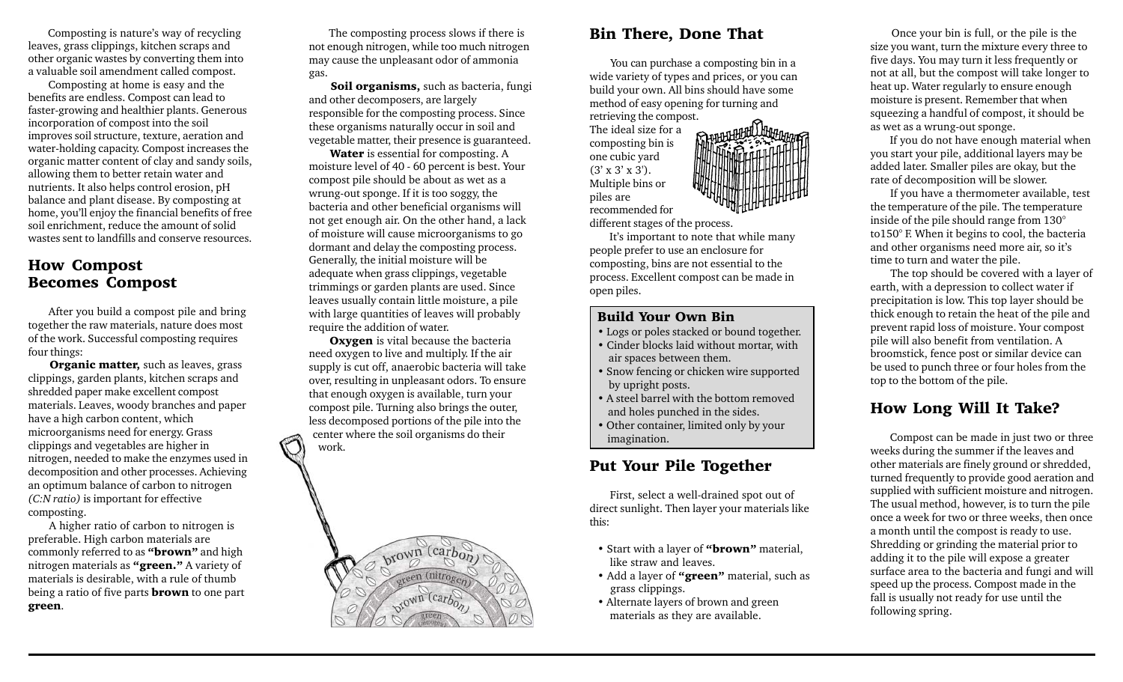Composting is nature's way of recycling leaves, grass clippings, kitchen scraps and other organic wastes by converting them into a valuable soil amendment called compost.

 Composting at home is easy and the benefits are endless. Compost can lead to faster-growing and healthier plants. Generous incorporation of compost into the soil improves soil structure, texture, aeration and water-holding capacity. Compost increases the organic matter content of clay and sandy soils, allowing them to better retain water and nutrients. It also helps control erosion, pH balance and plant disease. By composting at home, you'll enjoy the financial benefits of free soil enrichment, reduce the amount of solid wastes sent to landfills and conserve resources.

#### How Compost Becomes Compost

 After you build a compost pile and bring together the raw materials, nature does most of the work. Successful composting requires four things:

Organic matter, such as leaves, grass clippings, garden plants, kitchen scraps and shredded paper make excellent compost materials. Leaves, woody branches and paper have a high carbon content, which microorganisms need for energy. Grass clippings and vegetables are higher in nitrogen, needed to make the enzymes used in decomposition and other processes. Achieving an optimum balance of carbon to nitrogen *(C:N ratio)* is important for effective composting.

 A higher ratio of carbon to nitrogen is preferable. High carbon materials are commonly referred to as "**brown**" and high nitrogen materials as "green." A variety of materials is desirable, with a rule of thumb being a ratio of five parts **brown** to one part green.

 The composting process slows if there is not enough nitrogen, while too much nitrogen may cause the unpleasant odor of ammonia gas.

Soil organisms, such as bacteria, fungi and other decomposers, are largely responsible for the composting process. Since these organisms naturally occur in soil and vegetable matter, their presence is guaranteed.

Water is essential for composting. A moisture level of 40 - 60 percent is best. Your compost pile should be about as wet as a wrung-out sponge. If it is too soggy, the bacteria and other beneficial organisms will not get enough air. On the other hand, a lack of moisture will cause microorganisms to go dormant and delay the composting process. Generally, the initial moisture will be adequate when grass clippings, vegetable trimmings or garden plants are used. Since leaves usually contain little moisture, a pile with large quantities of leaves will probably require the addition of water.

**Oxygen** is vital because the bacteria need oxygen to live and multiply. If the air supply is cut off, anaerobic bacteria will take over, resulting in unpleasant odors. To ensure that enough oxygen is available, turn your compost pile. Turning also brings the outer, less decomposed portions of the pile into the center where the soil organisms do their work.



## Bin There, Done That

 You can purchase a composting bin in a wide variety of types and prices, or you can build your own. All bins should have some method of easy opening for turning and retrieving the compost.

The ideal size for a composting bin is one cubic yard  $(3' \times 3' \times 3')$ . Multiple bins or piles are recommended for different stages of the process.

 It's important to note that while many people prefer to use an enclosure for composting, bins are not essential to the process. Excellent compost can be made in open piles.

#### Build Your Own Bin

- Logs or poles stacked or bound together.
- Cinder blocks laid without mortar, with air spaces between them.
- Snow fencing or chicken wire supported by upright posts.
- A steel barrel with the bottom removed and holes punched in the sides.
- Other container, limited only by your imagination.

## Put Your Pile Together

 First, select a well-drained spot out of direct sunlight. Then layer your materials like this:

- Start with a layer of "**brown**" material, like straw and leaves.
- Add a layer of "green" material, such as grass clippings.
- Alternate layers of brown and green materials as they are available.

 Once your bin is full, or the pile is the size you want, turn the mixture every three to five days. You may turn it less frequently or not at all, but the compost will take longer to heat up. Water regularly to ensure enough moisture is present. Remember that when squeezing a handful of compost, it should be as wet as a wrung-out sponge.

 If you do not have enough material when you start your pile, additional layers may be added later. Smaller piles are okay, but the rate of decomposition will be slower.

 If you have a thermometer available, test the temperature of the pile. The temperature inside of the pile should range from 130° to150° F. When it begins to cool, the bacteria and other organisms need more air, so it's time to turn and water the pile.

 The top should be covered with a layer of earth, with a depression to collect water if precipitation is low. This top layer should be thick enough to retain the heat of the pile and prevent rapid loss of moisture. Your compost pile will also benefit from ventilation. A broomstick, fence post or similar device can be used to punch three or four holes from the top to the bottom of the pile.

## How Long Will It Take?

 Compost can be made in just two or three weeks during the summer if the leaves and other materials are finely ground or shredded, turned frequently to provide good aeration and supplied with sufficient moisture and nitrogen. The usual method, however, is to turn the pile once a week for two or three weeks, then once a month until the compost is ready to use. Shredding or grinding the material prior to adding it to the pile will expose a greater surface area to the bacteria and fungi and will speed up the process. Compost made in the fall is usually not ready for use until the following spring.